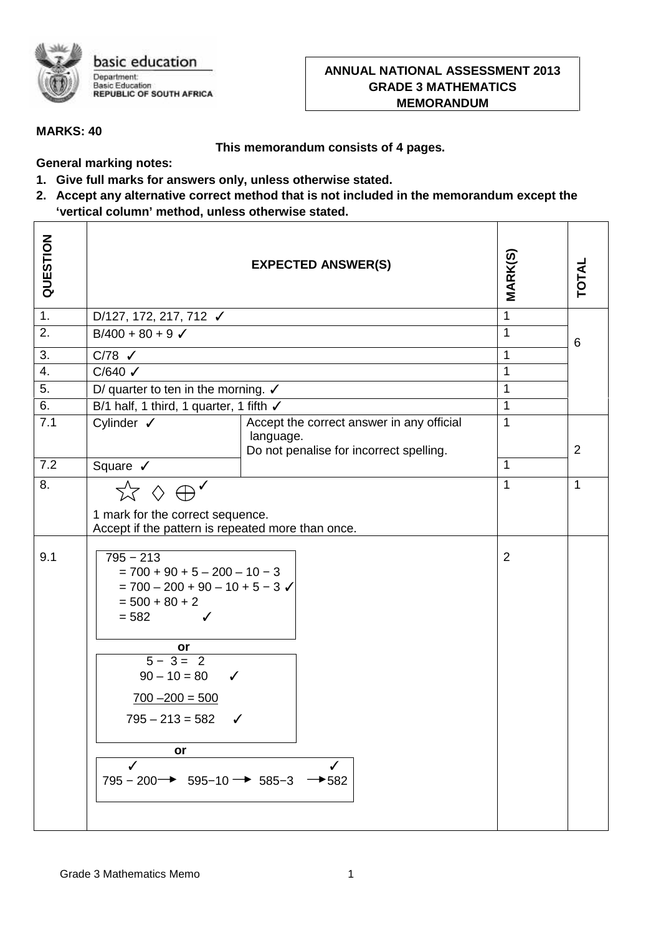

## **ANNUAL NATIONAL ASSESSMENT 2013 GRADE 3 MATHEMATICS MEMORANDUM**

**MARKS: 40**

## **This memorandum consists of 4 pages.**

**General marking notes:**

- **1. Give full marks for answers only, unless otherwise stated.**
- **2. Accept any alternative correct method that is not included in the memorandum except the 'vertical column' method, unless otherwise stated.**

| QUESTION |                                                                                                                                                                                                                                                                                                                   | <b>EXPECTED ANSWER(S)</b>                                                                         | <b>MARK(S)</b> | <b>TOTAL</b>   |
|----------|-------------------------------------------------------------------------------------------------------------------------------------------------------------------------------------------------------------------------------------------------------------------------------------------------------------------|---------------------------------------------------------------------------------------------------|----------------|----------------|
| 1.       | D/127, 172, 217, 712 √                                                                                                                                                                                                                                                                                            |                                                                                                   | $\mathbf{1}$   |                |
| 2.       | $B/400 + 80 + 9$                                                                                                                                                                                                                                                                                                  |                                                                                                   | $\mathbf{1}$   | 6              |
| 3.       | $C/78$ $\checkmark$                                                                                                                                                                                                                                                                                               |                                                                                                   | $\mathbf{1}$   |                |
| 4.       | C/640 $\checkmark$                                                                                                                                                                                                                                                                                                |                                                                                                   | $\mathbf{1}$   |                |
| 5.       | D/ quarter to ten in the morning. $\checkmark$                                                                                                                                                                                                                                                                    |                                                                                                   | $\mathbf{1}$   |                |
| 6.       | B/1 half, 1 third, 1 quarter, 1 fifth $\checkmark$                                                                                                                                                                                                                                                                |                                                                                                   | $\mathbf{1}$   |                |
| 7.1      | Cylinder √                                                                                                                                                                                                                                                                                                        | Accept the correct answer in any official<br>language.<br>Do not penalise for incorrect spelling. | 1              | $\overline{2}$ |
| 7.2      | Square $\checkmark$                                                                                                                                                                                                                                                                                               |                                                                                                   | $\mathbf{1}$   |                |
| 8.       | $\overleftrightarrow{\omega} \diamond \oplus'$<br>1 mark for the correct sequence.<br>Accept if the pattern is repeated more than once.                                                                                                                                                                           |                                                                                                   | $\mathbf{1}$   | $\mathbf{1}$   |
| 9.1      | $795 - 213$<br>$= 700 + 90 + 5 - 200 - 10 - 3$<br>$= 700 - 200 + 90 - 10 + 5 - 3$<br>$= 500 + 80 + 2$<br>$= 582$<br>✓<br>or<br>$5 - 3 = 2$<br>$90 - 10 = 80$<br>$\checkmark$<br>$700 - 200 = 500$<br>$795 - 213 = 582$ $\checkmark$<br>or<br>$\checkmark$<br>$795 - 200 \rightarrow 595 - 10 \rightarrow 585 - 3$ | $\rightarrow$ 582                                                                                 | $\overline{2}$ |                |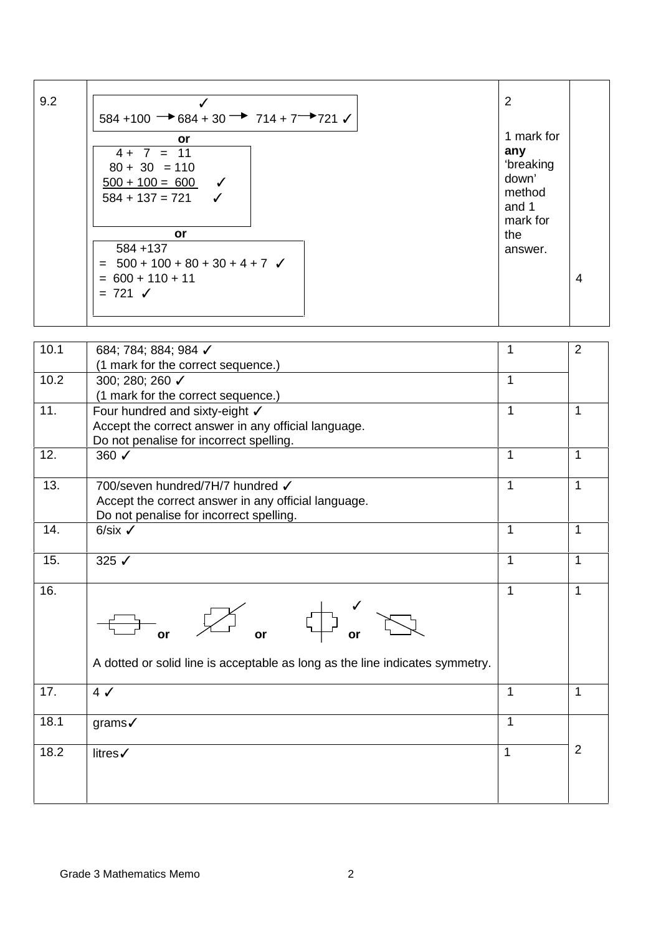| $584 + 100 \rightarrow 684 + 30 \rightarrow 714 + 7 \rightarrow 721$                                                                                        |                                                                                          |
|-------------------------------------------------------------------------------------------------------------------------------------------------------------|------------------------------------------------------------------------------------------|
| <b>or</b><br>$4 + 7 = 11$<br>$80 + 30 = 110$<br>$500 + 100 = 600$ $\checkmark$<br>$584 + 137 = 721$<br>or<br>$584 + 137$<br>$= 500 + 100 + 80 + 30 + 4 + 7$ | 1 mark for<br>any<br>'breaking<br>down'<br>method<br>and 1<br>mark for<br>the<br>answer. |
| $= 600 + 110 + 11$<br>$= 721$ $\checkmark$                                                                                                                  | $\overline{4}$                                                                           |

| 10.1 | 684; 784; 884; 984 √                                                         | 1              | $\overline{2}$ |
|------|------------------------------------------------------------------------------|----------------|----------------|
|      | (1 mark for the correct sequence.)                                           |                |                |
| 10.2 | 300; 280; 260 √                                                              | $\mathbf{1}$   |                |
|      | (1 mark for the correct sequence.)                                           |                |                |
| 11.  | Four hundred and sixty-eight √                                               | $\mathbf{1}$   | 1              |
|      | Accept the correct answer in any official language.                          |                |                |
|      | Do not penalise for incorrect spelling.                                      |                |                |
| 12.  | 360 $\checkmark$                                                             | 1              | 1              |
| 13.  | 700/seven hundred/7H/7 hundred √                                             | 1              | 1              |
|      | Accept the correct answer in any official language.                          |                |                |
|      | Do not penalise for incorrect spelling.                                      |                |                |
| 14.  | $6/six$ $\checkmark$                                                         | 1              | 1              |
|      |                                                                              |                |                |
| 15.  | 325 $\checkmark$                                                             | 1              | 1              |
| 16.  |                                                                              | $\overline{1}$ | 1              |
|      |                                                                              |                |                |
|      | A dotted or solid line is acceptable as long as the line indicates symmetry. |                |                |
| 17.  | $4\checkmark$                                                                | 1              | 1              |
| 18.1 | grams $\checkmark$                                                           | $\overline{1}$ |                |
| 18.2 | litres√                                                                      | $\mathbf{1}$   | 2              |
|      |                                                                              |                |                |
|      |                                                                              |                |                |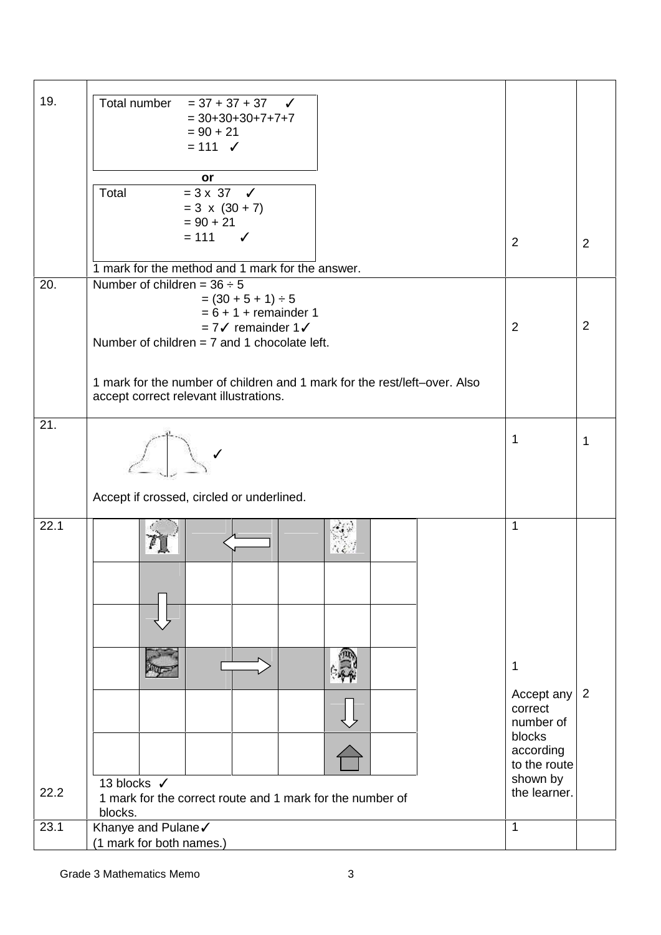| 19.  | Total number = $37 + 37 + 37$ $\checkmark$                                |                     |                |
|------|---------------------------------------------------------------------------|---------------------|----------------|
|      | $= 30+30+30+7+7+7$<br>$= 90 + 21$                                         |                     |                |
|      | $= 111$ $\checkmark$                                                      |                     |                |
|      |                                                                           |                     |                |
|      | or                                                                        |                     |                |
|      | $= 3 \times 37$ $\checkmark$<br>Total                                     |                     |                |
|      | $= 3 \times (30 + 7)$                                                     |                     |                |
|      | $= 90 + 21$                                                               |                     |                |
|      | $= 111$ $\checkmark$                                                      | $\overline{2}$      | $\overline{2}$ |
|      |                                                                           |                     |                |
|      | 1 mark for the method and 1 mark for the answer.                          |                     |                |
| 20.  | Number of children = $36 \div 5$<br>$= (30 + 5 + 1) \div 5$               |                     |                |
|      | $= 6 + 1 +$ remainder 1                                                   |                     |                |
|      | $= 7$ $\checkmark$ remainder 1 $\checkmark$                               | $\overline{2}$      | $\overline{2}$ |
|      | Number of children $= 7$ and 1 chocolate left.                            |                     |                |
|      |                                                                           |                     |                |
|      | 1 mark for the number of children and 1 mark for the rest/left-over. Also |                     |                |
|      | accept correct relevant illustrations.                                    |                     |                |
|      |                                                                           |                     |                |
| 21.  |                                                                           |                     |                |
|      |                                                                           | 1                   | 1              |
|      |                                                                           |                     |                |
|      |                                                                           |                     |                |
|      | Accept if crossed, circled or underlined.                                 |                     |                |
|      |                                                                           |                     |                |
| 22.1 |                                                                           | $\mathbf{1}$        |                |
|      |                                                                           |                     |                |
|      |                                                                           |                     |                |
|      |                                                                           |                     |                |
|      |                                                                           |                     |                |
|      |                                                                           |                     |                |
|      |                                                                           |                     |                |
|      |                                                                           |                     |                |
|      |                                                                           | $\mathbf{1}$        |                |
|      |                                                                           |                     |                |
|      |                                                                           | Accept any          | 2              |
|      |                                                                           | correct             |                |
|      |                                                                           | number of<br>blocks |                |
|      |                                                                           | according           |                |
|      |                                                                           | to the route        |                |
|      | 13 blocks √                                                               | shown by            |                |
| 22.2 | 1 mark for the correct route and 1 mark for the number of                 | the learner.        |                |
|      | blocks.                                                                   |                     |                |
| 23.1 | Khanye and Pulane√                                                        | $\mathbf{1}$        |                |
|      | (1 mark for both names.)                                                  |                     |                |